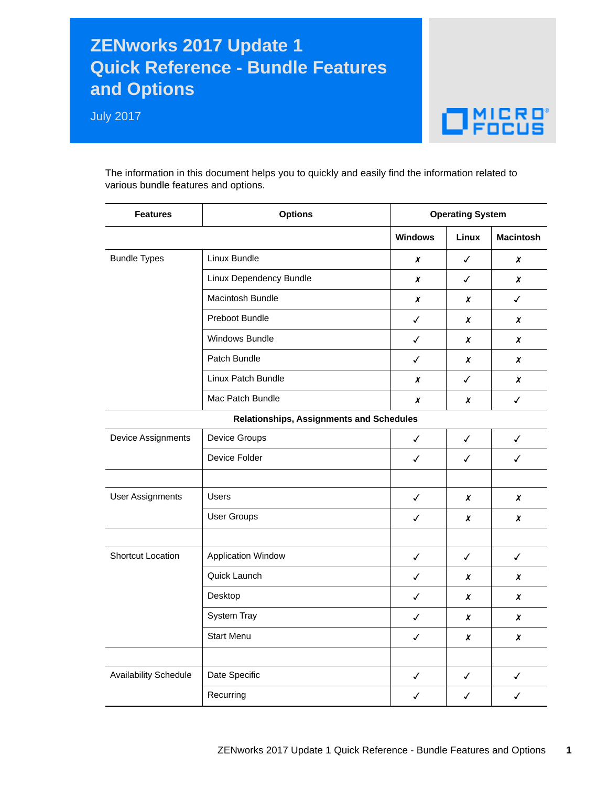## **ZENworks 2017 Update 1 Quick Reference - Bundle Features and Options**

July 2017



The information in this document helps you to quickly and easily find the information related to various bundle features and options.

| <b>Features</b>              | <b>Options</b>                           | <b>Operating System</b> |                  |                  |
|------------------------------|------------------------------------------|-------------------------|------------------|------------------|
|                              |                                          | <b>Windows</b>          | <b>Linux</b>     | <b>Macintosh</b> |
| <b>Bundle Types</b>          | Linux Bundle                             | X                       | $\checkmark$     | X                |
|                              | Linux Dependency Bundle                  | X                       | $\checkmark$     | X                |
|                              | Macintosh Bundle                         | X                       | X                | $\checkmark$     |
|                              | Preboot Bundle                           | ✓                       | X                | X                |
|                              | Windows Bundle                           | ✓                       | X                | x                |
|                              | Patch Bundle                             | ✓                       | X                | x                |
|                              | Linux Patch Bundle                       | x                       | ✓                | x                |
|                              | Mac Patch Bundle                         | X                       | X                | $\checkmark$     |
|                              | Relationships, Assignments and Schedules |                         |                  |                  |
| Device Assignments           | Device Groups                            | ✓                       | $\checkmark$     | $\checkmark$     |
|                              | Device Folder                            | $\checkmark$            | $\checkmark$     | ✓                |
|                              |                                          |                         |                  |                  |
| <b>User Assignments</b>      | <b>Users</b>                             | ✓                       | $\boldsymbol{x}$ | X                |
|                              | <b>User Groups</b>                       | ✓                       | X                | X                |
|                              |                                          |                         |                  |                  |
| Shortcut Location            | <b>Application Window</b>                | $\checkmark$            | $\checkmark$     | $\checkmark$     |
|                              | Quick Launch                             | ✓                       | X                | X                |
|                              | Desktop                                  | ✓                       | X                | X                |
|                              | System Tray                              | ✓                       | X                | X                |
|                              | <b>Start Menu</b>                        | $\checkmark$            | X                | X                |
|                              |                                          |                         |                  |                  |
| <b>Availability Schedule</b> | Date Specific                            | ✓                       | ✓                | $\checkmark$     |
|                              | Recurring                                | ✓                       | ✓                | ✓                |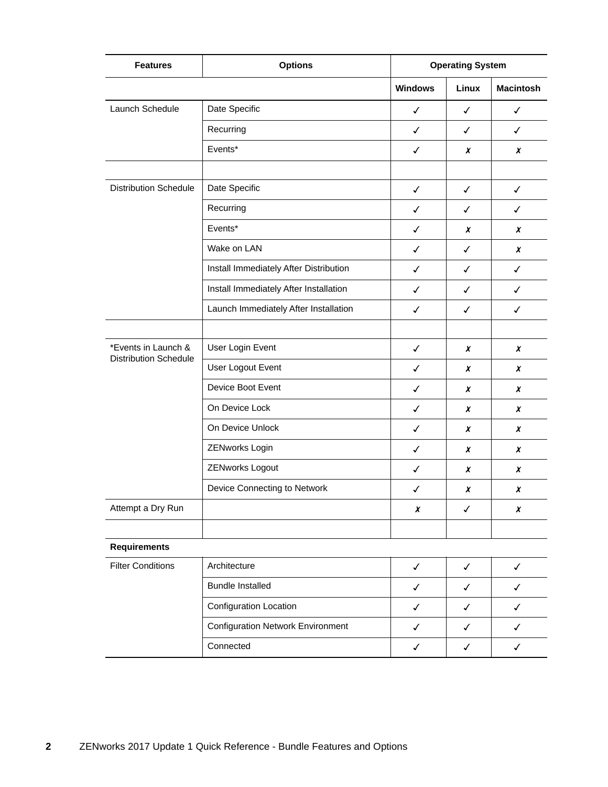| <b>Features</b>                                     | <b>Options</b>                           |                | <b>Operating System</b> |                  |  |
|-----------------------------------------------------|------------------------------------------|----------------|-------------------------|------------------|--|
|                                                     |                                          | <b>Windows</b> | Linux                   | <b>Macintosh</b> |  |
| Launch Schedule                                     | Date Specific                            | ✓              | ✓                       | ✓                |  |
|                                                     | Recurring                                | $\checkmark$   | ✓                       | $\checkmark$     |  |
|                                                     | Events*                                  | $\checkmark$   | X                       | X                |  |
|                                                     |                                          |                |                         |                  |  |
| <b>Distribution Schedule</b>                        | Date Specific                            | $\checkmark$   | $\checkmark$            | $\checkmark$     |  |
|                                                     | Recurring                                | $\checkmark$   | ✓                       | ✓                |  |
|                                                     | Events*                                  | ✓              | X                       | X                |  |
|                                                     | Wake on LAN                              | $\checkmark$   | $\checkmark$            | X                |  |
|                                                     | Install Immediately After Distribution   | $\checkmark$   | ✓                       | ✓                |  |
|                                                     | Install Immediately After Installation   | ✓              | ✓                       | $\checkmark$     |  |
|                                                     | Launch Immediately After Installation    | $\checkmark$   | ✓                       | ✓                |  |
|                                                     |                                          |                |                         |                  |  |
| *Events in Launch &<br><b>Distribution Schedule</b> | User Login Event                         | ✓              | x                       | X                |  |
|                                                     | User Logout Event                        | $\checkmark$   | X                       | X                |  |
|                                                     | Device Boot Event                        | ✓              | X                       | X                |  |
|                                                     | On Device Lock                           | $\checkmark$   | $\chi$                  | X                |  |
|                                                     | On Device Unlock                         | ✓              | X                       | X                |  |
|                                                     | ZENworks Login                           | ✓              | X                       | X                |  |
|                                                     | ZENworks Logout                          | $\checkmark$   | $\chi$                  | x                |  |
|                                                     | Device Connecting to Network             | ✓              | X                       | X                |  |
| Attempt a Dry Run                                   |                                          | X              | ✓                       | X                |  |
|                                                     |                                          |                |                         |                  |  |
| <b>Requirements</b>                                 |                                          |                |                         |                  |  |
| <b>Filter Conditions</b>                            | Architecture                             | $\checkmark$   | $\checkmark$            | $\checkmark$     |  |
|                                                     | <b>Bundle Installed</b>                  | $\checkmark$   | $\checkmark$            | ✓                |  |
|                                                     | Configuration Location                   | $\checkmark$   | $\checkmark$            | $\checkmark$     |  |
|                                                     | <b>Configuration Network Environment</b> | ✓              | ✓                       | ✓                |  |
|                                                     | Connected                                | $\checkmark$   | ✓                       | $\checkmark$     |  |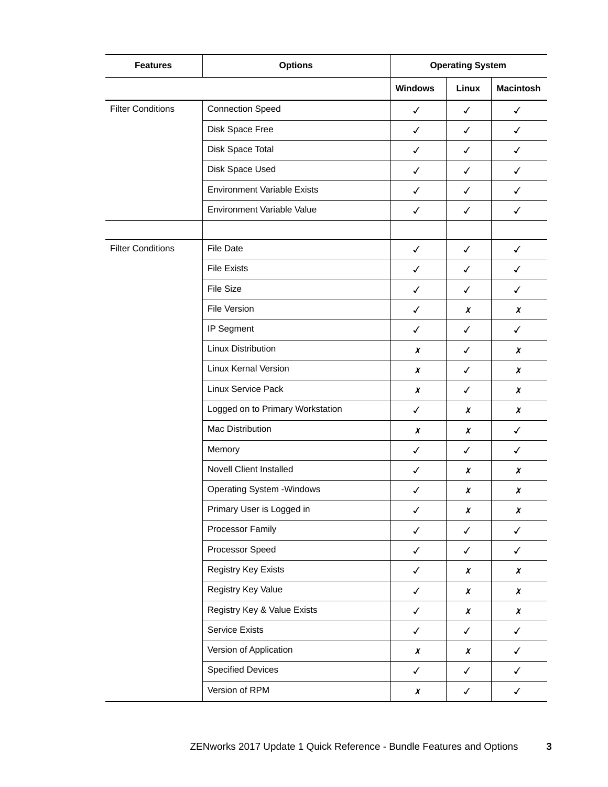| <b>Features</b>          | <b>Options</b>                     | <b>Operating System</b> |                  |                  |
|--------------------------|------------------------------------|-------------------------|------------------|------------------|
|                          |                                    | <b>Windows</b>          | Linux            | <b>Macintosh</b> |
| <b>Filter Conditions</b> | <b>Connection Speed</b>            | $\checkmark$            | ✓                | $\checkmark$     |
|                          | Disk Space Free                    | $\checkmark$            | $\checkmark$     | $\checkmark$     |
|                          | Disk Space Total                   | ✓                       | ✓                | ✓                |
|                          | Disk Space Used                    | ✓                       | ✓                | ✓                |
|                          | <b>Environment Variable Exists</b> | $\checkmark$            | ✓                | $\checkmark$     |
|                          | <b>Environment Variable Value</b>  | $\checkmark$            | $\checkmark$     | $\checkmark$     |
|                          |                                    |                         |                  |                  |
| <b>Filter Conditions</b> | <b>File Date</b>                   | $\checkmark$            | $\checkmark$     | $\checkmark$     |
|                          | <b>File Exists</b>                 | ✓                       | ✓                | ✓                |
|                          | <b>File Size</b>                   | ✓                       | ✓                | ✓                |
|                          | File Version                       | $\checkmark$            | x                | X                |
|                          | IP Segment                         | $\checkmark$            | $\checkmark$     | ✓                |
|                          | <b>Linux Distribution</b>          | x                       | ✓                | x                |
|                          | <b>Linux Kernal Version</b>        | X                       | ✓                | X                |
|                          | Linux Service Pack                 | X                       | $\checkmark$     | X                |
|                          | Logged on to Primary Workstation   | $\checkmark$            | $\boldsymbol{x}$ | $\boldsymbol{x}$ |
|                          | <b>Mac Distribution</b>            | x                       | x                | ✓                |
|                          | Memory                             | $\checkmark$            | ✓                | ✓                |
|                          | <b>Novell Client Installed</b>     | $\checkmark$            | x                | x                |
|                          | <b>Operating System - Windows</b>  | ✓                       | x                | X                |
|                          | Primary User is Logged in          | $\checkmark$            | $\pmb{\chi}$     | $\pmb{\chi}$     |
|                          | Processor Family                   | $\checkmark$            | $\checkmark$     | $\checkmark$     |
|                          | Processor Speed                    | $\checkmark$            | $\checkmark$     | $\checkmark$     |
|                          | Registry Key Exists                | $\checkmark$            | $\pmb{\chi}$     | $\pmb{\chi}$     |
|                          | Registry Key Value                 | $\checkmark$            | X                | X                |
|                          | Registry Key & Value Exists        | $\checkmark$            | $\pmb{\chi}$     | $\pmb{\chi}$     |
|                          | <b>Service Exists</b>              | $\checkmark$            | $\checkmark$     | $\checkmark$     |
|                          | Version of Application             | $\pmb{\chi}$            | X                | $\checkmark$     |
|                          | <b>Specified Devices</b>           | $\checkmark$            | $\checkmark$     | $\checkmark$     |
|                          | Version of RPM                     | $\boldsymbol{x}$        | $\checkmark$     | $\checkmark$     |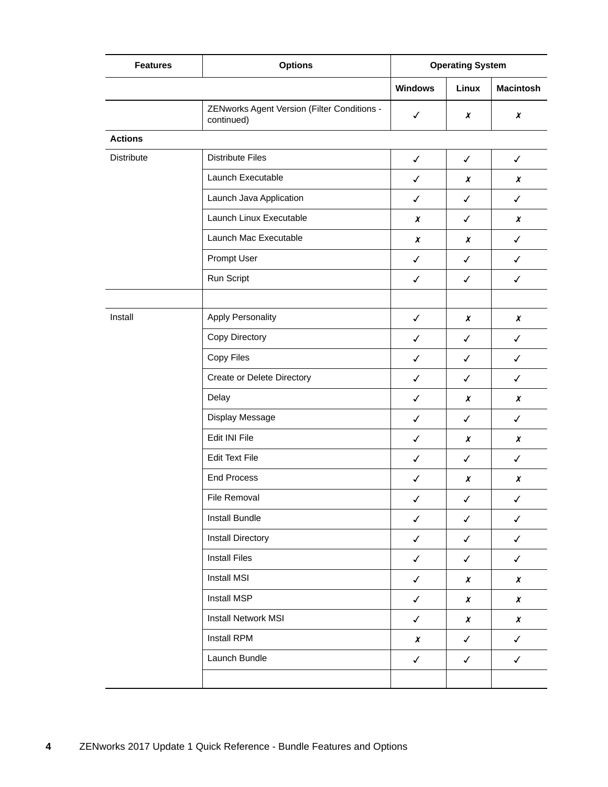| <b>Features</b> | <b>Options</b>                                            | <b>Operating System</b> |              |                  |
|-----------------|-----------------------------------------------------------|-------------------------|--------------|------------------|
|                 |                                                           | <b>Windows</b>          | Linux        | <b>Macintosh</b> |
|                 | ZENworks Agent Version (Filter Conditions -<br>continued) | $\checkmark$            | X            | $\boldsymbol{x}$ |
| <b>Actions</b>  |                                                           |                         |              |                  |
| Distribute      | <b>Distribute Files</b>                                   | $\checkmark$            | $\checkmark$ | $\checkmark$     |
|                 | Launch Executable                                         | $\checkmark$            | X            | X                |
|                 | Launch Java Application                                   | $\checkmark$            | $\checkmark$ | $\checkmark$     |
|                 | Launch Linux Executable                                   | $\pmb{\chi}$            | $\checkmark$ | $\boldsymbol{x}$ |
|                 | Launch Mac Executable                                     | $\boldsymbol{x}$        | X            | $\checkmark$     |
|                 | Prompt User                                               | $\checkmark$            | $\checkmark$ | $\checkmark$     |
|                 | Run Script                                                | $\checkmark$            | $\checkmark$ | $\checkmark$     |
|                 |                                                           |                         |              |                  |
| Install         | <b>Apply Personality</b>                                  | $\checkmark$            | X            | X                |
|                 | Copy Directory                                            | $\checkmark$            | $\checkmark$ | $\checkmark$     |
|                 | Copy Files                                                | $\checkmark$            | ✓            | ✓                |
|                 | Create or Delete Directory                                | $\checkmark$            | ✓            | $\checkmark$     |
|                 | Delay                                                     | $\checkmark$            | X            | X                |
|                 | Display Message                                           | $\checkmark$            | $\checkmark$ | $\checkmark$     |
|                 | Edit INI File                                             | $\checkmark$            | x            | $\boldsymbol{x}$ |
|                 | <b>Edit Text File</b>                                     | $\checkmark$            | $\checkmark$ | $\checkmark$     |
|                 | <b>End Process</b>                                        | $\checkmark$            | X            | $\boldsymbol{x}$ |
|                 | File Removal                                              | $\checkmark$            | $\checkmark$ | $\checkmark$     |
|                 | Install Bundle                                            | $\checkmark$            | $\checkmark$ | $\checkmark$     |
|                 | Install Directory                                         | $\checkmark$            | $\checkmark$ | $\checkmark$     |
|                 | <b>Install Files</b>                                      | $\checkmark$            | $\checkmark$ | $\checkmark$     |
|                 | Install MSI                                               | $\checkmark$            | X            | X                |
|                 | Install MSP                                               | $\checkmark$            | $\pmb{\chi}$ | $\pmb{\chi}$     |
|                 | <b>Install Network MSI</b>                                | $\checkmark$            | $\pmb{\chi}$ | $\pmb{\chi}$     |
|                 | Install RPM                                               | $\boldsymbol{x}$        | $\checkmark$ | $\checkmark$     |
|                 | Launch Bundle                                             | $\checkmark$            | $\checkmark$ | $\checkmark$     |
|                 |                                                           |                         |              |                  |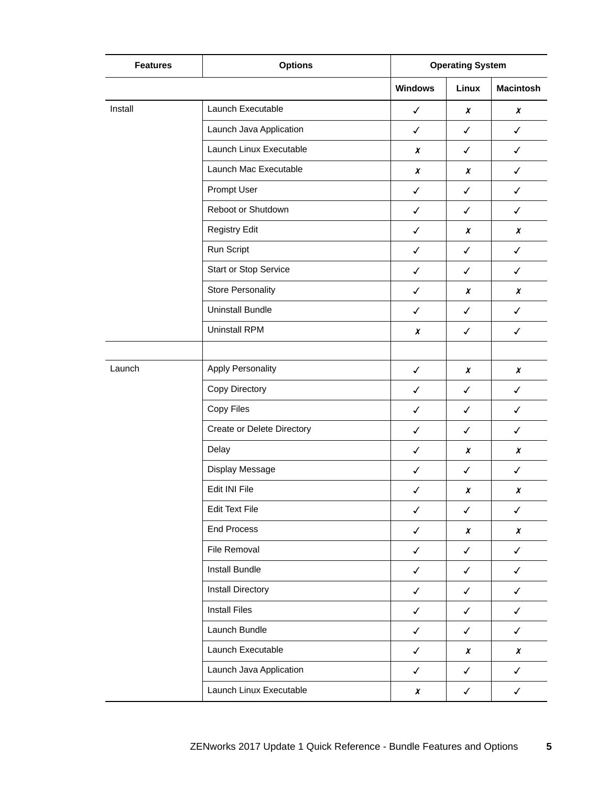| <b>Features</b> | <b>Options</b>               | <b>Operating System</b> |                  |                  |
|-----------------|------------------------------|-------------------------|------------------|------------------|
|                 |                              | <b>Windows</b>          | Linux            | <b>Macintosh</b> |
| Install         | Launch Executable            | $\checkmark$            | $\chi$           | $\boldsymbol{x}$ |
|                 | Launch Java Application      | $\checkmark$            | $\checkmark$     | $\checkmark$     |
|                 | Launch Linux Executable      | X                       | $\checkmark$     | $\checkmark$     |
|                 | Launch Mac Executable        | $\boldsymbol{x}$        | $\chi$           | $\checkmark$     |
|                 | Prompt User                  | $\checkmark$            | $\checkmark$     | ✓                |
|                 | Reboot or Shutdown           | $\checkmark$            | ✓                | ✓                |
|                 | <b>Registry Edit</b>         | $\checkmark$            | $\boldsymbol{x}$ | $\boldsymbol{x}$ |
|                 | Run Script                   | $\checkmark$            | $\checkmark$     | $\checkmark$     |
|                 | <b>Start or Stop Service</b> | $\checkmark$            | ✓                | $\checkmark$     |
|                 | <b>Store Personality</b>     | $\checkmark$            | $\boldsymbol{x}$ | X                |
|                 | <b>Uninstall Bundle</b>      | $\checkmark$            | $\checkmark$     | $\checkmark$     |
|                 | <b>Uninstall RPM</b>         | x                       | ✓                | $\checkmark$     |
|                 |                              |                         |                  |                  |
| Launch          | <b>Apply Personality</b>     | $\checkmark$            | X                | X                |
|                 | Copy Directory               | $\checkmark$            | ✓                | $\checkmark$     |
|                 | Copy Files                   | $\checkmark$            | $\checkmark$     | $\checkmark$     |
|                 | Create or Delete Directory   | $\checkmark$            | $\checkmark$     | $\checkmark$     |
|                 | Delay                        | $\checkmark$            | x                | x                |
|                 | Display Message              | $\checkmark$            | $\checkmark$     | $\checkmark$     |
|                 | Edit INI File                | $\checkmark$            | X                | X                |
|                 | <b>Edit Text File</b>        | $\checkmark$            | $\checkmark$     | $\checkmark$     |
|                 | <b>End Process</b>           | $\checkmark$            | X                | X                |
|                 | File Removal                 | $\checkmark$            | $\checkmark$     | $\checkmark$     |
|                 | Install Bundle               | $\checkmark$            | $\checkmark$     | $\checkmark$     |
|                 | <b>Install Directory</b>     | $\checkmark$            | $\checkmark$     | $\checkmark$     |
|                 | <b>Install Files</b>         | $\checkmark$            | $\checkmark$     | $\checkmark$     |
|                 | Launch Bundle                | $\checkmark$            | $\checkmark$     | $\checkmark$     |
|                 | Launch Executable            | $\checkmark$            | $\pmb{\chi}$     | X                |
|                 | Launch Java Application      | $\checkmark$            | $\checkmark$     | $\checkmark$     |
|                 | Launch Linux Executable      | $\boldsymbol{x}$        | $\checkmark$     | $\checkmark$     |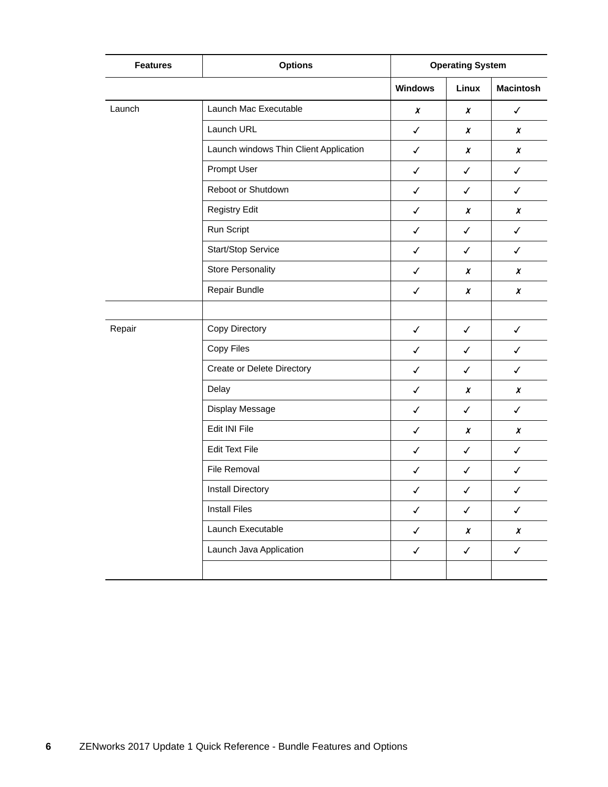| <b>Features</b> | <b>Options</b>                         | <b>Operating System</b> |                  |                  |
|-----------------|----------------------------------------|-------------------------|------------------|------------------|
|                 |                                        | <b>Windows</b>          | Linux            | <b>Macintosh</b> |
| Launch          | Launch Mac Executable                  | X                       | X                | $\checkmark$     |
|                 | Launch URL                             | $\checkmark$            | $\boldsymbol{x}$ | $\boldsymbol{x}$ |
|                 | Launch windows Thin Client Application | ✓                       | X                | X                |
|                 | Prompt User                            | $\checkmark$            | ✓                | $\checkmark$     |
|                 | Reboot or Shutdown                     | $\checkmark$            | ✓                | $\checkmark$     |
|                 | <b>Registry Edit</b>                   | $\checkmark$            | X                | X                |
|                 | Run Script                             | $\checkmark$            | ✓                | $\checkmark$     |
|                 | Start/Stop Service                     | $\checkmark$            | ✓                | $\checkmark$     |
|                 | <b>Store Personality</b>               | $\checkmark$            | X                | X                |
|                 | Repair Bundle                          | $\checkmark$            | $\boldsymbol{x}$ | $\boldsymbol{x}$ |
|                 |                                        |                         |                  |                  |
| Repair          | Copy Directory                         | $\checkmark$            | $\checkmark$     | $\checkmark$     |
|                 | Copy Files                             | $\checkmark$            | ✓                | $\checkmark$     |
|                 | Create or Delete Directory             | $\checkmark$            | ✓                | $\checkmark$     |
|                 | Delay                                  | $\checkmark$            | X                | X                |
|                 | Display Message                        | $\checkmark$            | $\checkmark$     | $\checkmark$     |
|                 | Edit INI File                          | $\checkmark$            | X                | X                |
|                 | <b>Edit Text File</b>                  | $\checkmark$            | ✓                | ✓                |
|                 | File Removal                           | $\checkmark$            | $\checkmark$     | $\checkmark$     |
|                 | <b>Install Directory</b>               | ✓                       | ✓                | ✓                |
|                 | <b>Install Files</b>                   | $\checkmark$            | $\checkmark$     | $\checkmark$     |
|                 | Launch Executable                      | $\checkmark$            | $\chi$           | $\pmb{\chi}$     |
|                 | Launch Java Application                | $\checkmark$            | $\checkmark$     | $\checkmark$     |
|                 |                                        |                         |                  |                  |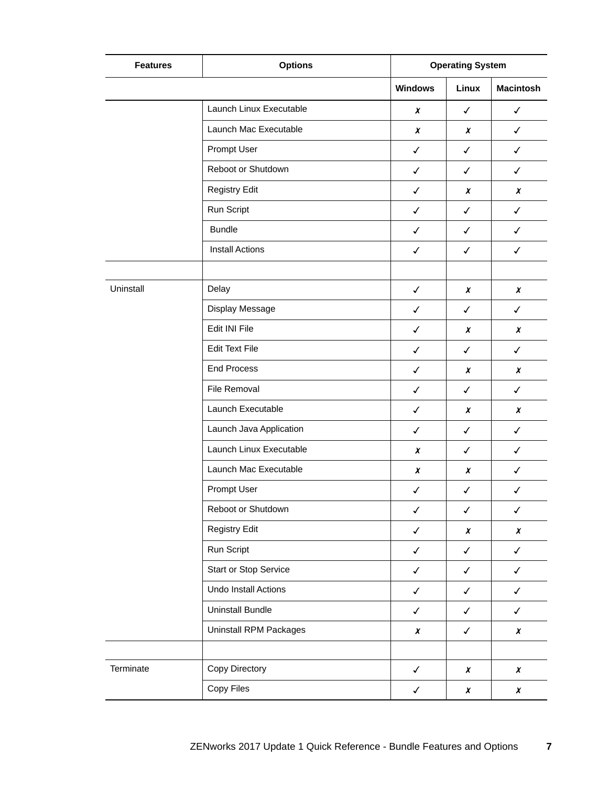| <b>Features</b> | <b>Options</b>          | <b>Operating System</b> |                  |                  |
|-----------------|-------------------------|-------------------------|------------------|------------------|
|                 |                         | <b>Windows</b>          | Linux            | <b>Macintosh</b> |
|                 | Launch Linux Executable | $\boldsymbol{x}$        | $\checkmark$     | $\checkmark$     |
|                 | Launch Mac Executable   | $\boldsymbol{x}$        | $\chi$           | $\checkmark$     |
|                 | Prompt User             | $\checkmark$            | $\checkmark$     | $\checkmark$     |
|                 | Reboot or Shutdown      | $\checkmark$            | $\checkmark$     | $\checkmark$     |
|                 | <b>Registry Edit</b>    | $\checkmark$            | X                | X                |
|                 | Run Script              | $\checkmark$            | $\checkmark$     | $\checkmark$     |
|                 | <b>Bundle</b>           | $\checkmark$            | $\checkmark$     | $\checkmark$     |
|                 | <b>Install Actions</b>  | $\checkmark$            | $\checkmark$     | $\checkmark$     |
|                 |                         |                         |                  |                  |
| Uninstall       | Delay                   | $\checkmark$            | $\chi$           | $\boldsymbol{x}$ |
|                 | Display Message         | $\checkmark$            | $\checkmark$     | ✓                |
|                 | Edit INI File           | $\checkmark$            | $\chi$           | X                |
|                 | <b>Edit Text File</b>   | $\checkmark$            | $\checkmark$     | $\checkmark$     |
|                 | <b>End Process</b>      | $\checkmark$            | X                | X                |
|                 | File Removal            | $\checkmark$            | ✓                | $\checkmark$     |
|                 | Launch Executable       | $\checkmark$            | $\boldsymbol{x}$ | X                |
|                 | Launch Java Application | $\checkmark$            | $\checkmark$     | $\checkmark$     |
|                 | Launch Linux Executable | $\boldsymbol{x}$        | ✓                | ✓                |
|                 | Launch Mac Executable   | $\boldsymbol{x}$        | X                | $\checkmark$     |
|                 | Prompt User             | $\checkmark$            | $\checkmark$     | $\checkmark$     |
|                 | Reboot or Shutdown      | $\checkmark$            | $\checkmark$     | $\checkmark$     |
|                 | <b>Registry Edit</b>    | $\checkmark$            | X                | $\pmb{\chi}$     |
|                 | Run Script              | $\checkmark$            | $\checkmark$     | $\checkmark$     |
|                 | Start or Stop Service   | $\checkmark$            | $\checkmark$     | $\checkmark$     |
|                 | Undo Install Actions    | $\checkmark$            | $\checkmark$     | ✓                |
|                 | <b>Uninstall Bundle</b> | $\checkmark$            | $\checkmark$     | $\checkmark$     |
|                 | Uninstall RPM Packages  | $\pmb{\chi}$            | $\checkmark$     | $\pmb{\chi}$     |
|                 |                         |                         |                  |                  |
| Terminate       | Copy Directory          | $\checkmark$            | $\chi$           | X                |
|                 | Copy Files              | $\checkmark$            | $\pmb{\chi}$     | $\pmb{\chi}$     |